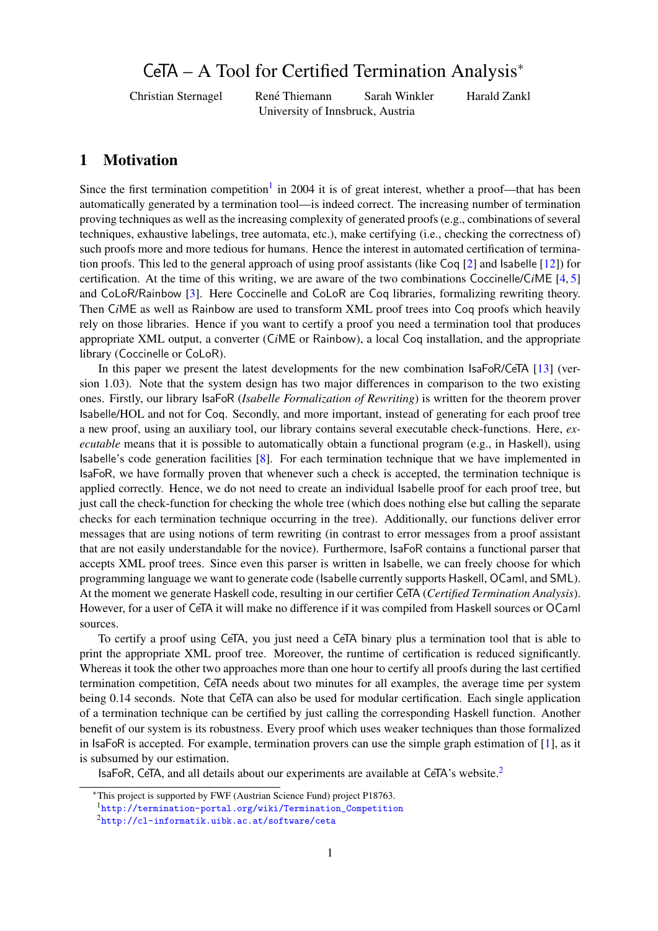# <span id="page-0-0"></span>CeTA – A Tool for Certified Termination Analysis<sup>∗</sup>

Christian Sternagel Rene Thiemann Sarah Winkler Harald Zankl ´ University of Innsbruck, Austria

# 1 Motivation

Since the first termination competition<sup>1</sup> in 2004 it is of great interest, whether a proof—that has been automatically generated by a termination tool—is indeed correct. The increasing number of termination proving techniques as well as the increasing complexity of generated proofs (e.g., combinations of several techniques, exhaustive labelings, tree automata, etc.), make certifying (i.e., checking the correctness of) such proofs more and more tedious for humans. Hence the interest in automated certification of termination proofs. This led to the general approach of using proof assistants (like Coq [\[2\]](#page-3-0) and Isabelle [\[12\]](#page-3-1)) for certification. At the time of this writing, we are aware of the two combinations Coccinelle/C*i*ME [\[4,](#page-3-2) [5\]](#page-3-3) and CoLoR/Rainbow [\[3\]](#page-3-4). Here Coccinelle and CoLoR are Coq libraries, formalizing rewriting theory. Then C*i*ME as well as Rainbow are used to transform XML proof trees into Coq proofs which heavily rely on those libraries. Hence if you want to certify a proof you need a termination tool that produces appropriate XML output, a converter (C*i*ME or Rainbow), a local Coq installation, and the appropriate library (Coccinelle or CoLoR).

In this paper we present the latest developments for the new combination IsaFoR/CeTA [\[13\]](#page-3-5) (version 1.03). Note that the system design has two major differences in comparison to the two existing ones. Firstly, our library IsaFoR (*Isabelle Formalization of Rewriting*) is written for the theorem prover Isabelle/HOL and not for Coq. Secondly, and more important, instead of generating for each proof tree a new proof, using an auxiliary tool, our library contains several executable check-functions. Here, *executable* means that it is possible to automatically obtain a functional program (e.g., in Haskell), using Isabelle's code generation facilities [\[8\]](#page-3-6). For each termination technique that we have implemented in IsaFoR, we have formally proven that whenever such a check is accepted, the termination technique is applied correctly. Hence, we do not need to create an individual Isabelle proof for each proof tree, but just call the check-function for checking the whole tree (which does nothing else but calling the separate checks for each termination technique occurring in the tree). Additionally, our functions deliver error messages that are using notions of term rewriting (in contrast to error messages from a proof assistant that are not easily understandable for the novice). Furthermore, IsaFoR contains a functional parser that accepts XML proof trees. Since even this parser is written in Isabelle, we can freely choose for which programming language we want to generate code (Isabelle currently supports Haskell, OCaml, and SML). At the moment we generate Haskell code, resulting in our certifier CeTA (*Certified Termination Analysis*). However, for a user of CeTA it will make no difference if it was compiled from Haskell sources or OCaml sources.

To certify a proof using CeTA, you just need a CeTA binary plus a termination tool that is able to print the appropriate XML proof tree. Moreover, the runtime of certification is reduced significantly. Whereas it took the other two approaches more than one hour to certify all proofs during the last certified termination competition, CeTA needs about two minutes for all examples, the average time per system being 0.14 seconds. Note that CeTA can also be used for modular certification. Each single application of a termination technique can be certified by just calling the corresponding Haskell function. Another benefit of our system is its robustness. Every proof which uses weaker techniques than those formalized in IsaFoR is accepted. For example, termination provers can use the simple graph estimation of [\[1\]](#page-3-7), as it is subsumed by our estimation.

IsaFoR, CeTA, and all details about our experiments are available at CeTA's website.<sup>2</sup>

<sup>∗</sup>This project is supported by FWF (Austrian Science Fund) project P18763.

<sup>1</sup>[http://termination-portal.org/wiki/Termination\\_Competition](http://termination-portal.org/wiki/Termination_Competition)

<sup>2</sup><http://cl-informatik.uibk.ac.at/software/ceta>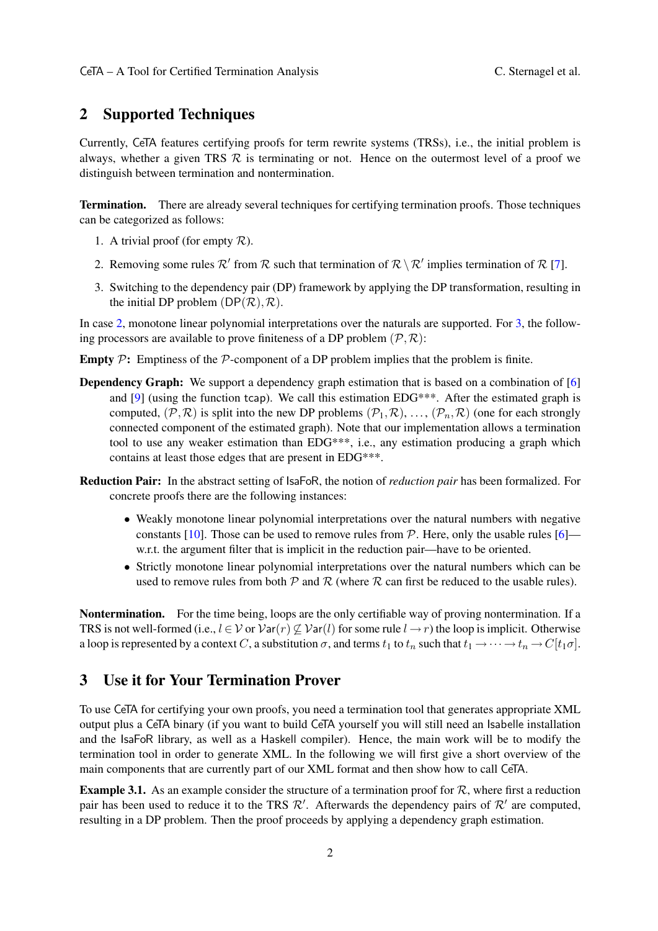### 2 Supported Techniques

Currently, CeTA features certifying proofs for term rewrite systems (TRSs), i.e., the initial problem is always, whether a given TRS  $R$  is terminating or not. Hence on the outermost level of a proof we distinguish between termination and nontermination.

Termination. There are already several techniques for certifying termination proofs. Those techniques can be categorized as follows:

- 1. A trivial proof (for empty  $R$ ).
- <span id="page-1-0"></span>2. Removing some rules  $\mathcal{R}'$  from  $\mathcal{R}$  such that termination of  $\mathcal{R} \setminus \mathcal{R}'$  implies termination of  $\mathcal{R}$  [\[7\]](#page-3-8).
- <span id="page-1-1"></span>3. Switching to the dependency pair (DP) framework by applying the DP transformation, resulting in the initial DP problem  $(DP(\mathcal{R}), \mathcal{R})$ .

In case [2,](#page-1-0) monotone linear polynomial interpretations over the naturals are supported. For [3,](#page-1-1) the following processors are available to prove finiteness of a DP problem  $(\mathcal{P}, \mathcal{R})$ :

**Empty P:** Emptiness of the P-component of a DP problem implies that the problem is finite.

- **Dependency Graph:** We support a dependency graph estimation that is based on a combination of [\[6\]](#page-3-9) and  $[9]$  (using the function tcap). We call this estimation  $EDG^{***}$ . After the estimated graph is computed,  $(\mathcal{P}, \mathcal{R})$  is split into the new DP problems  $(\mathcal{P}_1, \mathcal{R}), \ldots, (\mathcal{P}_n, \mathcal{R})$  (one for each strongly connected component of the estimated graph). Note that our implementation allows a termination tool to use any weaker estimation than EDG\*\*\*, i.e., any estimation producing a graph which contains at least those edges that are present in EDG\*\*\*.
- Reduction Pair: In the abstract setting of IsaFoR, the notion of *reduction pair* has been formalized. For concrete proofs there are the following instances:
	- Weakly monotone linear polynomial interpretations over the natural numbers with negative constants [\[10\]](#page-3-11). Those can be used to remove rules from  $P$ . Here, only the usable rules [\[6\]](#page-3-9) w.r.t. the argument filter that is implicit in the reduction pair—have to be oriented.
	- Strictly monotone linear polynomial interpretations over the natural numbers which can be used to remove rules from both  $P$  and  $R$  (where  $R$  can first be reduced to the usable rules).

Nontermination. For the time being, loops are the only certifiable way of proving nontermination. If a TRS is not well-formed (i.e.,  $l \in V$  or  $Var(r) \nsubseteq Var(l)$  for some rule  $l \rightarrow r$ ) the loop is implicit. Otherwise a loop is represented by a context C, a substitution  $\sigma$ , and terms  $t_1$  to  $t_n$  such that  $t_1 \to \cdots \to t_n \to C[t_1\sigma]$ .

# 3 Use it for Your Termination Prover

To use CeTA for certifying your own proofs, you need a termination tool that generates appropriate XML output plus a CeTA binary (if you want to build CeTA yourself you will still need an Isabelle installation and the IsaFoR library, as well as a Haskell compiler). Hence, the main work will be to modify the termination tool in order to generate XML. In the following we will first give a short overview of the main components that are currently part of our XML format and then show how to call CeTA.

**Example 3.1.** As an example consider the structure of a termination proof for  $\mathcal{R}$ , where first a reduction pair has been used to reduce it to the TRS  $\mathcal{R}'$ . Afterwards the dependency pairs of  $\mathcal{R}'$  are computed, resulting in a DP problem. Then the proof proceeds by applying a dependency graph estimation.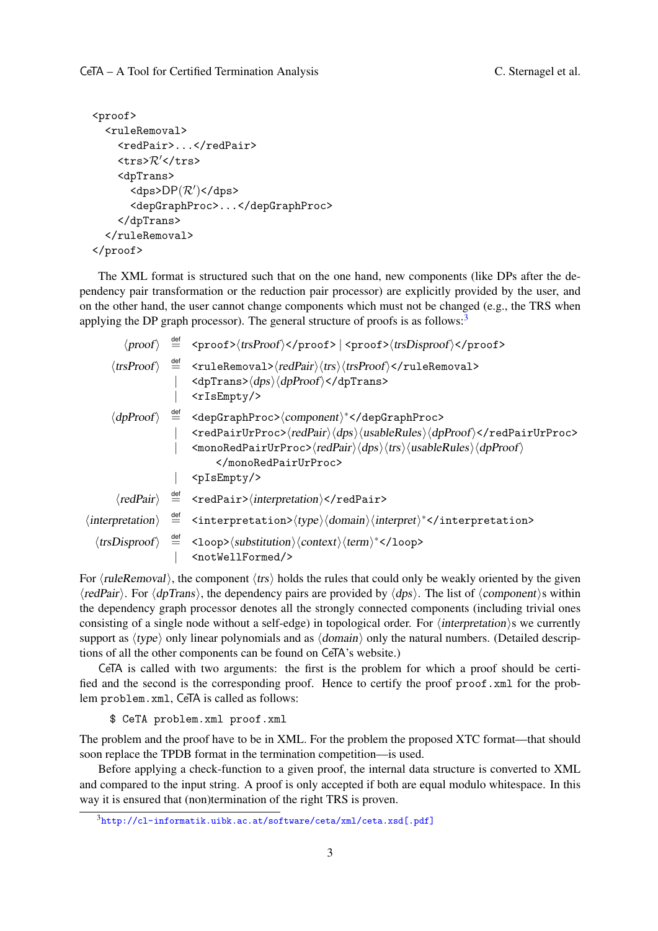```
<proof>
  <ruleRemoval>
    <redPair>...</redPair>
    \langletrs>R'</trs>
    <dpTrans>
       <dps>DP(\mathcal{R}')</dps>
      <depGraphProc>...</depGraphProc>
    </dpTrans>
  </ruleRemoval>
</proof>
```
The XML format is structured such that on the one hand, new components (like DPs after the dependency pair transformation or the reduction pair processor) are explicitly provided by the user, and on the other hand, the user cannot change components which must not be changed (e.g., the TRS when applying the DP graph processor). The general structure of proofs is as follows: $3$ 

|                                                                                                                                                                                                                                           | $\langle proof \rangle \stackrel{\text{def}}{=} \langle proof \rangle \langle trsProof \rangle \langle proof \rangle   \langle proof \rangle \langle trsDisproof \rangle \langle proof \rangle$                                                                                                                                                                                                  |  |  |  |  |
|-------------------------------------------------------------------------------------------------------------------------------------------------------------------------------------------------------------------------------------------|--------------------------------------------------------------------------------------------------------------------------------------------------------------------------------------------------------------------------------------------------------------------------------------------------------------------------------------------------------------------------------------------------|--|--|--|--|
|                                                                                                                                                                                                                                           | $\langle\text{trsProof}\rangle\;\;\stackrel{\text{def}}{=}\;\;\langle\text{ruleRemoval>}\langle\text{redPair}\rangle\langle\text{trs}\rangle\langle\text{trsProof}\rangle\langle\text{ruleRemoval>}\rangle$<br>$\langle dppTrans \rangle \langle dps \rangle \langle dpProof \rangle \langle dpTrans \rangle$<br>$<$ rIs $Empty$ />                                                              |  |  |  |  |
|                                                                                                                                                                                                                                           | $\langle dpProof \rangle$ = <depgraphproc><math>\langle component \rangle^*</math></depgraphproc><br><redpairurproc>(redPair)(dps)(usableRules)(dpProof)</redpairurproc><br>$\langle \text{monoRedPairUrProc>} \langle \text{redPair} \rangle \langle \text{dps} \rangle \langle \text{trs} \rangle \langle \text{usableRules} \rangle \langle \text{dpProof} \rangle$<br><br>$<$ pIs $Empty$ /> |  |  |  |  |
|                                                                                                                                                                                                                                           | $\langle redPair \rangle \stackrel{\text{def}}{=} \langle redPair \rangle \langle interpretation \rangle \langle redPair \rangle$                                                                                                                                                                                                                                                                |  |  |  |  |
| $\langle \text{interpretation} \rangle \stackrel{\text{def}}{=} \langle \text{interpretation} \rangle \langle \text{type} \rangle \langle \text{domain} \rangle \langle \text{interpret} \rangle^* \langle \text{interpretation} \rangle$ |                                                                                                                                                                                                                                                                                                                                                                                                  |  |  |  |  |
|                                                                                                                                                                                                                                           | $\langle$ trsDisproof $\rangle$ $\stackrel{\text{def}}{=}$ <100p> $\langle$ substitution $\rangle$ $\langle$ context $\rangle$ $\langle$ term $\rangle^*$ 100p<br><notwellformed></notwellformed>                                                                                                                                                                                                |  |  |  |  |

For  $\langle \text{ruleRemoval} \rangle$ , the component  $\langle \text{trs} \rangle$  holds the rules that could only be weakly oriented by the given  $\langle \text{redPair} \rangle$ . For  $\langle \text{dpTrans} \rangle$ , the dependency pairs are provided by  $\langle \text{dps} \rangle$ . The list of  $\langle \text{component} \rangle$ s within the dependency graph processor denotes all the strongly connected components (including trivial ones consisting of a single node without a self-edge) in topological order. For  $\langle$  interpretation $\rangle$ s we currently support as  $\langle type \rangle$  only linear polynomials and as  $\langle domain \rangle$  only the natural numbers. (Detailed descriptions of all the other components can be found on CeTA's website.)

CeTA is called with two arguments: the first is the problem for which a proof should be certified and the second is the corresponding proof. Hence to certify the proof proof.xml for the problem problem.xml, CeTA is called as follows:

\$ CeTA problem.xml proof.xml

The problem and the proof have to be in XML. For the problem the proposed XTC format—that should soon replace the TPDB format in the termination competition—is used.

Before applying a check-function to a given proof, the internal data structure is converted to XML and compared to the input string. A proof is only accepted if both are equal modulo whitespace. In this way it is ensured that (non)termination of the right TRS is proven.

<sup>3</sup><http://cl-informatik.uibk.ac.at/software/ceta/xml/ceta.xsd>[\[.pdf\]](http://cl-informatik.uibk.ac.at/software/ceta/xml/ceta.xsd.pdf)